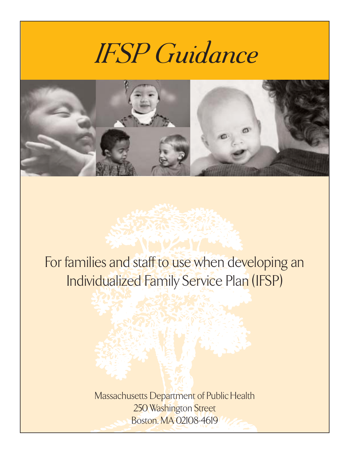# *IFSP Guidance*



### For families and staff to use when developing an Individualized Family Service Plan (IFSP)

Massachusetts Department of Public Health 250 Washington Street Boston, MA 02108-4619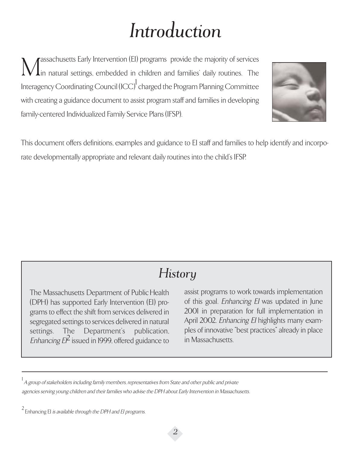### *Introduction*

Massachusetts Early Intervention (EI) programs provide the majority of services<br>In natural settings, embedded in children and families' daily routines. The in natural settings, embedded in children and families' daily routines. The Interagency Coordinating Council (ICC)<sup>1</sup> charged the Program Planning Committee with creating a guidance document to assist program staff and families in developing family-centered Individualized Family Service Plans (IFSP).



This document offers definitions, examples and guidance to EI staff and families to help identify and incorporate developmentally appropriate and relevant daily routines into the child's IFSP.

### *History*

The Massachusetts Department of Public Health (DPH) has supported Early Intervention (EI) programs to effect the shift from services delivered in segregated settings to services delivered in natural settings. The Department's publication, Enhancing  $E\hat{P}$  issued in 1999, offered guidance to

assist programs to work towards implementation of this goal. Enhancing EI was updated in June 2001 in preparation for full implementation in April 2002. Enhancing EI highlights many examples of innovative "best practices" already in place in Massachusetts.

 $^{\rm 1}$  A group of stakeholders including family members, representatives from State and other public and private agencies serving young children and their families who advise the DPH about Early Intervention in Massachusetts.

 $2 \nvert$  Enhancing EI *is available through the DPH and EI programs.*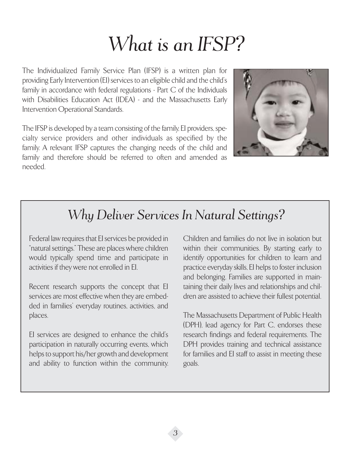### *What is an IFSP?*

The Individualized Family Service Plan (IFSP) is a written plan for providing Early Intervention (EI) services to an eligible child and the child's family in accordance with federal regulations - Part C of the Individuals with Disabilities Education Act (IDEA) - and the Massachusetts Early Intervention Operational Standards.

The IFSP is developed by a team consisting of the family, EI providers, specialty service providers and other individuals as specified by the family. A relevant IFSP captures the changing needs of the child and family and therefore should be referred to often and amended as needed.



### *Why Deliver Services In Natural Settings?*

Federal law requires that EI services be provided in "natural settings." These are places where children would typically spend time and participate in activities if they were not enrolled in EI.

Recent research supports the concept that EI services are most effective when they are embedded in families' everyday routines, activities, and places.

EI services are designed to enhance the child's participation in naturally occurring events, which helps to support his/her growth and development and ability to function within the community.

Children and families do not live in isolation but within their communities. By starting early to identify opportunities for children to learn and practice everyday skills, EI helps to foster inclusion and belonging. Families are supported in maintaining their daily lives and relationships and children are assisted to achieve their fullest potential.

The Massachusetts Department of Public Health (DPH), lead agency for Part C, endorses these research findings and federal requirements. The DPH provides training and technical assistance for families and EI staff to assist in meeting these goals.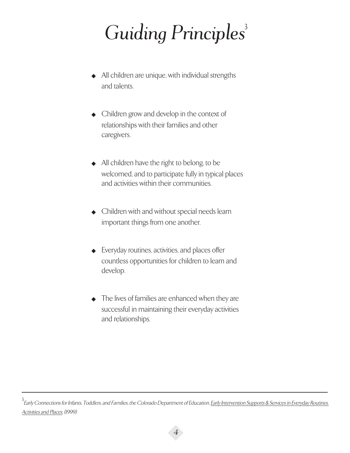## *Guiding Principles*<sup>3</sup>

- ◆ All children are unique, with individual strengths and talents.
- ◆ Children grow and develop in the context of relationships with their families and other caregivers.
- ◆ All children have the right to belong, to be welcomed, and to participate fully in typical places and activities within their communities.
- ◆ Children with and without special needs learn important things from one another.
- ◆ Everyday routines, activities, and places offer countless opportunities for children to learn and develop.
- ◆ The lives of families are enhanced when they are successful in maintaining their everyday activities and relationships.

<sup>3&</sup>lt;br>Early Connections for Infants, Toddlers, and Families, the Colorado Department of Education, <u>Early Intervention Supports & Services in Everyday Routines,</u> Activities and Places, (1999)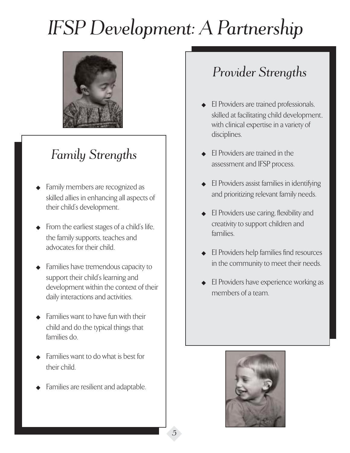# *IFSP Development: A Partnership*



### *Family Strengths*

- Family members are recognized as skilled allies in enhancing all aspects of their child's development.
- From the earliest stages of a child's life, the family supports, teaches and advocates for their child.
- Families have tremendous capacity to support their child's learning and development within the context of their daily interactions and activities.
- Families want to have fun with their child and do the typical things that families do.
- Families want to do what is best for their child.
- Families are resilient and adaptable.

### *Provider Strengths*

- **EI Providers are trained professionals,** skilled at facilitating child development, with clinical expertise in a variety of disciplines.
- EI Providers are trained in the assessment and IFSP process.
- **EI Providers assist families in identifying** and prioritizing relevant family needs.
- EI Providers use caring, flexibility and creativity to support children and families.
- **EI Providers help families find resources** in the community to meet their needs.
- EI Providers have experience working as members of a team.



◆*5*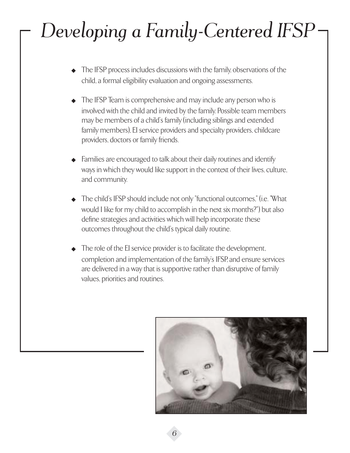# *Developing a Family-Centered IFSP*

- ◆ The IFSP process includes discussions with the family, observations of the child, a formal eligibility evaluation and ongoing assessments.
- ◆ The IFSP Team is comprehensive and may include any person who is involved with the child and invited by the family. Possible team members may be members of a child's family (including siblings and extended family members), EI service providers and specialty providers, childcare providers, doctors or family friends.
- Families are encouraged to talk about their daily routines and identify ways in which they would like support in the context of their lives, culture, and community.
- ◆ The child's IFSP should include not only "functional outcomes," (i.e. "What would I like for my child to accomplish in the next six months?") but also define strategies and activities which will help incorporate these outcomes throughout the child's typical daily routine.
- The role of the EI service provider is to facilitate the development, completion and implementation of the family's IFSP, and ensure services are delivered in a way that is supportive rather than disruptive of family values, priorities and routines.

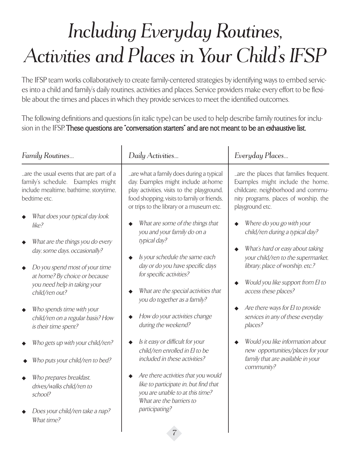## *Including Everyday Routines, Activities and Places in Your Child's IFSP*

The IFSP team works collaboratively to create family-centered strategies by identifying ways to embed services into a child and family's daily routines, activities and places. Service providers make every effort to be flexible about the times and places in which they provide services to meet the identified outcomes.

The following definitions and questions (in italic type) can be used to help describe family routines for inclusion in the IFSP. These questions are "conversation starters" and are not meant to be an exhaustive list.

| Family Routines                                                                                                                                                                                                                                                                                                                                                                                                                                                                                                         | Daily Activities                                                                                                                                                                                                                                                                                                                                                                                                                                                                                                                                                                          | Everyday Places                                                                                                                                                                                                                                                                                                                                                                                                                                         |
|-------------------------------------------------------------------------------------------------------------------------------------------------------------------------------------------------------------------------------------------------------------------------------------------------------------------------------------------------------------------------------------------------------------------------------------------------------------------------------------------------------------------------|-------------------------------------------------------------------------------------------------------------------------------------------------------------------------------------------------------------------------------------------------------------------------------------------------------------------------------------------------------------------------------------------------------------------------------------------------------------------------------------------------------------------------------------------------------------------------------------------|---------------------------------------------------------------------------------------------------------------------------------------------------------------------------------------------------------------------------------------------------------------------------------------------------------------------------------------------------------------------------------------------------------------------------------------------------------|
| are the usual events that are part of a<br>family's schedule. Examples might<br>include mealtime, bathtime, storytime,<br>bedtime etc.                                                                                                                                                                                                                                                                                                                                                                                  | are what a family does during a typical<br>day. Examples might include at-home<br>play activities, visits to the playground,<br>food shopping, visits to family or friends,<br>or trips to the library or a museum etc.                                                                                                                                                                                                                                                                                                                                                                   | are the places that families frequent.<br>Examples might include the home,<br>childcare, neighborhood and commu-<br>nity programs, places of worship, the<br>playground etc.                                                                                                                                                                                                                                                                            |
| What does your typical day look<br>like?<br>What are the things you do every<br>day, some days, occasionally?<br>Do you spend most of your time<br>at home? By choice or because<br>you need help in taking your<br>child/ren out?<br>Who spends time with your<br>child/ren on a regular basis? How<br>is their time spent?<br>Who gets up with your child/ren?<br>Who puts your child/ren to bed?<br>Who prepares breakfast.<br>drives/walks child/ren to<br>school?<br>Does your child/ren take a nap?<br>What time? | What are some of the things that<br>you and your family do on a<br>typical day?<br>Is your schedule the same each<br>day or do you have specific days<br>for specific activities?<br>What are the special activities that<br>you do together as a family?<br>How do your activities change<br>during the weekend?<br>Is it easy or difficult for your<br>child/ren enrolled in El to be<br>included in these activities?<br>Are there activities that you would<br>like to participate in, but find that<br>you are unable to at this time?<br>What are the barriers to<br>participating? | Where do you go with your<br>child/ren during a typical day?<br>What's hard or easy about taking<br>your child/ren to the supermarket.<br>library, place of worship, etc.?<br>Would you like support from El to<br>access these places?<br>Are there ways for El to provide<br>services in any of these everyday<br>places?<br>Would you like information about<br>new opportunities/places for your<br>family that are available in your<br>community? |